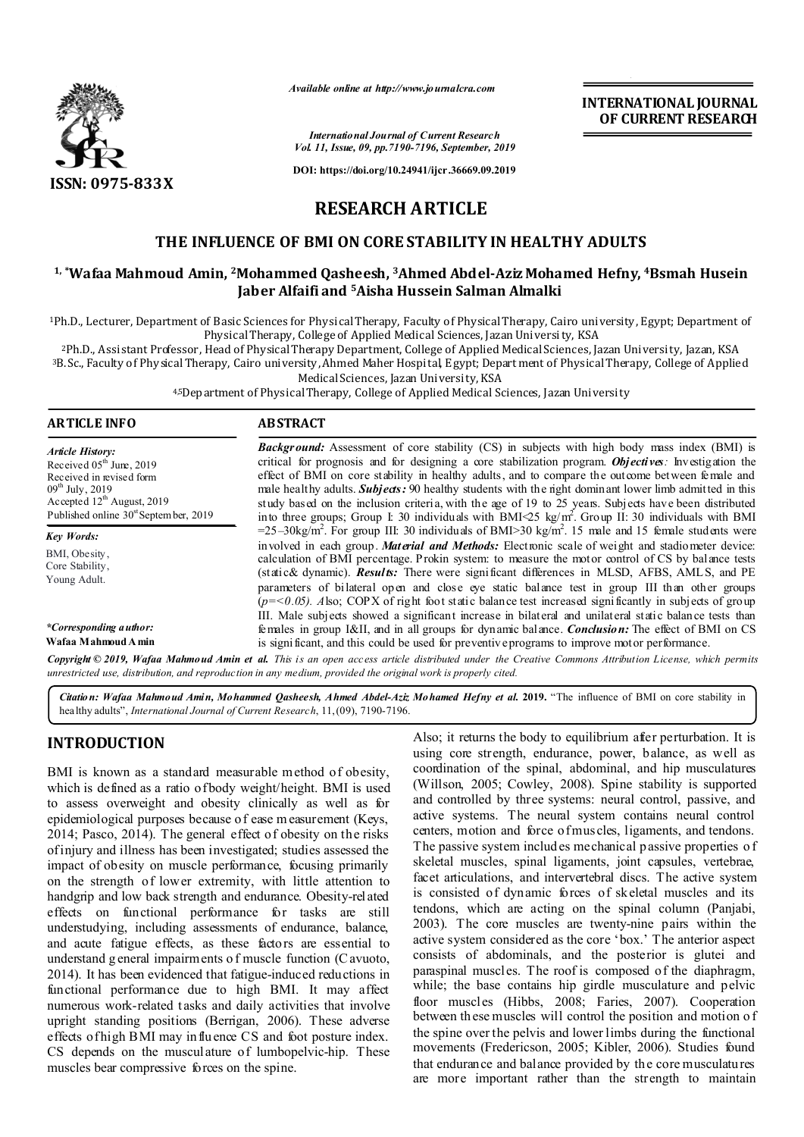

*Available online at http://www.journalcra.com*

*International Journal of Current Research Vol. 11, Issue, 09, pp.7190-7196, September, 2019*

**DOI: https://doi.org/10.24941/ijcr.36669.09.2019**

# **INTERNATIONAL JOURNAL OF CURRENT RESEARCH**

**RESEARCH ARTICLE**

# **THE INFLUENCE OF BMI ON CORE STABILITY IN HEALTHY ADULTS**

## **1, \*Wafaa Mahmoud Amin, 2Mohammed Qasheesh, 3Ahmed Abdel-Aziz Mohamed Hefny, 4Bsmah Husein Jaber Alfaifi and 5Aisha Hussein Salman Almalki**

1Ph.D., Lecturer, Department of Basic Sciences for Physical Therapy, Faculty of Physical Therapy, Cairo university, Egypt; Department of Physical Therapy, College of Applied Medical Sciences, Jazan University, KSA

2Ph.D., Assistant Professor, Head of Physical Therapy Department, College of Applied Medical Sciences, Jazan University, Jazan, KSA 3B.Sc., Faculty of Physical Therapy, Cairo university, Ahmed Maher Hospital, E gypt; Depart ment of Physical Therapy, College of Applied Medical Sciences, Jazan University, KSA

4,5Department of Physical Therapy, College of Applied Medical Sciences, Jazan University

| <b>ARTICLE INFO</b>                                                                                                                                                                               | <b>ABSTRACT</b>                                                                                                                                                                                                                                                                                                                                                                                                                                                                                                                                                                                                                                                |  |  |  |  |
|---------------------------------------------------------------------------------------------------------------------------------------------------------------------------------------------------|----------------------------------------------------------------------------------------------------------------------------------------------------------------------------------------------------------------------------------------------------------------------------------------------------------------------------------------------------------------------------------------------------------------------------------------------------------------------------------------------------------------------------------------------------------------------------------------------------------------------------------------------------------------|--|--|--|--|
| <b>Article History:</b><br>Received $05th$ June, 2019<br>Received in revised form<br>$09^{th}$ July, 2019<br>Accepted $12^{th}$ August, 2019<br>Published online 30 <sup>st</sup> September, 2019 | <b>Background:</b> Assessment of core stability (CS) in subjects with high body mass index (BMI) is<br>critical for prognosis and for designing a core stabilization program. Objectives: Investigation the<br>effect of BMI on core stability in healthy adults, and to compare the outcome between female and<br>male healthy adults. <b>Subjects:</b> 90 healthy students with the right dominant lower limb admitted in this<br>study based on the inclusion criteria, with the age of 19 to 25 years. Subjects have been distributed<br>into three groups; Group I: 30 individuals with BMI $\ll$ 5 kg/m <sup>2</sup> . Group II: 30 individuals with BMI |  |  |  |  |
| Key Words:                                                                                                                                                                                        | $=25-30\text{kg/m}^2$ . For group III: 30 individuals of BMI $>30 \text{ kg/m}^2$ . 15 male and 15 female students were                                                                                                                                                                                                                                                                                                                                                                                                                                                                                                                                        |  |  |  |  |
| BMI, Obesity,<br>Core Stability,<br>Young Adult.                                                                                                                                                  | involved in each group. Material and Methods: Electronic scale of weight and stadiometer device:<br>calculation of BMI percentage. Prokin system: to measure the motor control of CS by balance tests<br>(static& dynamic). <b>Results:</b> There were significant differences in MLSD, AFBS, AMLS, and PE<br>parameters of bilateral open and close eye static balance test in group III than other groups<br>$(p = 0.05)$ . Also; COPX of right foot static balance test increased significantly in subjects of group                                                                                                                                        |  |  |  |  |
| *Corresponding a uthor:<br>Wafaa Mahmoud A min                                                                                                                                                    | III. Male subjects showed a significant increase in bilateral and unilateral static balance tests than<br>females in group I&II, and in all groups for dynamic balance. <i>Conclusion</i> : The effect of BMI on CS<br>is significant, and this could be used for preventive programs to improve motor performance.                                                                                                                                                                                                                                                                                                                                            |  |  |  |  |

Copyright © 2019, Wafaa Mahmoud Amin et al. This is an open access article distributed under the Creative Commons Attribution License, which permits *unrestricted use, distribution, and reproduction in any medium, provided the original work is properly cited.*

*Citation: Wafaa Mahmoud Amin, Mohammed Qasheesh, Ahmed Abdel-Aziz Mohamed Hefny et al.* **2019.** "The influence of BMI on core stability in healthy adults", *International Journal of Current Research*, 11,(09), 7190-7196.

# **INTRODUCTION**

BMI is known as a standard measurable method of obesity, which is defined as a ratio of body weight/height. BMI is used to assess overweight and obesity clinically as well as for epidemiological purposes because of ease m easurement (Keys, 2014; Pasco, 2014). The general effect of obesity on the risks of injury and illness has been investigated; studies assessed the impact of obesity on muscle performance, focusing primarily on the strength of lower extremity, with little attention to handgrip and low back strength and endurance. Obesity-related effects on functional performance for tasks are still understudying, including assessments of endurance, balance, and acute fatigue effects, as these factors are essential to understand g eneral impairments o f muscle function (C avuoto, 2014). It has been evidenced that fatigue-induced reductions in functional performance due to high BMI. It may affect numerous work-related tasks and daily activities that involve upright standing positions (Berrigan, 2006). These adverse effects of high BMI may influence CS and foot posture index. CS depends on the musculature of lumbopelvic-hip. These muscles bear compressive forces on the spine.

Also; it returns the body to equilibrium after perturbation. It is using core strength, endurance, power, balance, as well as coordination of the spinal, abdominal, and hip musculatures (Willson, 2005; Cowley, 2008). Spine stability is supported and controlled by three systems: neural control, passive, and active systems. The neural system contains neural control centers, motion and force of muscles, ligaments, and tendons. The passive system includ es mechanical p assive properties o f skeletal muscles, spinal ligaments, joint capsules, vertebrae, facet articulations, and intervertebral discs. The active system is consisted of dynamic forces of skeletal muscles and its tendons, which are acting on the spinal column (Panjabi, 2003). The core muscles are twenty-nine pairs within the active system considered as the core 'box.' The anterior aspect consists of abdominals, and the posterior is glutei and paraspinal muscles. The roof is composed of the diaphragm, while; the base contains hip girdle musculature and pelvic floor muscles (Hibbs, 2008; Faries, 2007). Cooperation between th ese muscles will control the position and motion o f the spine over the pelvis and lower limbs during the functional movements (Fredericson, 2005; Kibler, 2006). Studies found that endurance and balance provided by the core musculatures are more important rather than the strength to maintain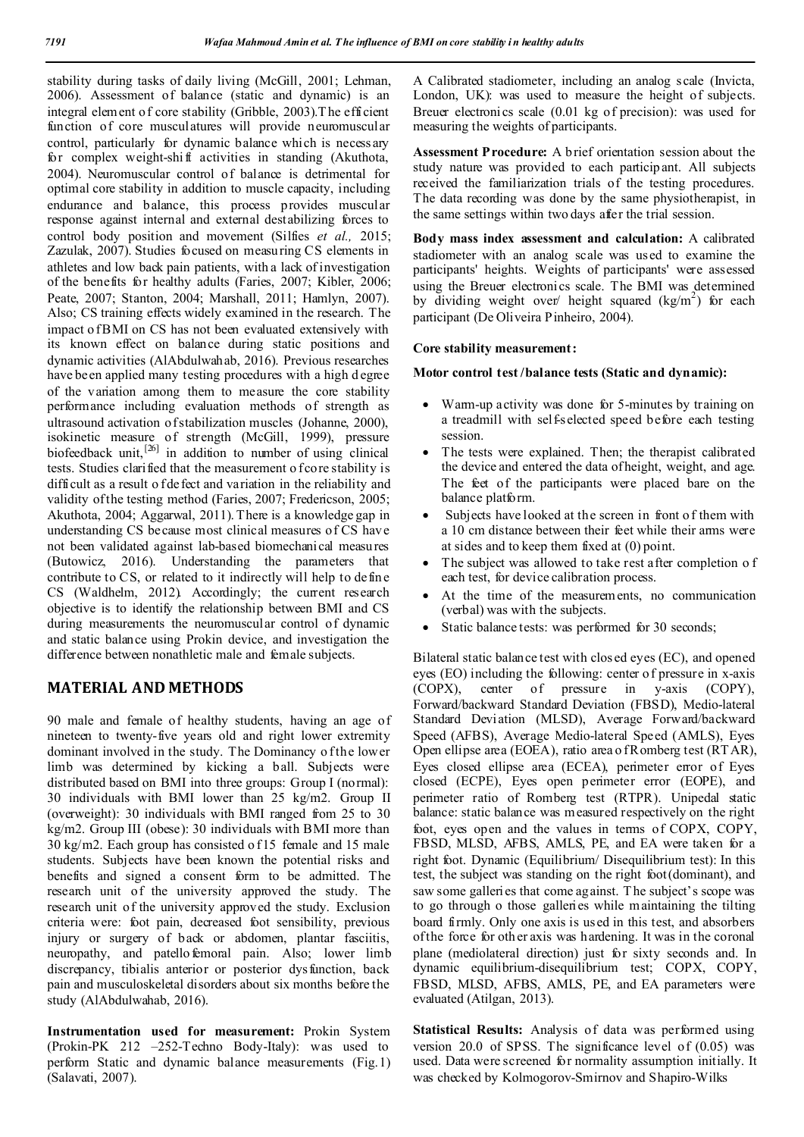stability during tasks of daily living (McGill, 2001; Lehman, 2006). Assessment of balance (static and dynamic) is an integral element o f core stability (Gribble, 2003).T he efficient function of core musculatures will provide neuromuscular control, particularly for dynamic balance which is necessary for complex weight-shift activities in standing (Akuthota, 2004). Neuromuscular control of balance is detrimental for optimal core stability in addition to muscle capacity, including endurance and balance, this process provides muscular response against internal and external destabilizing forces to control body position and movement (Silfies *et al.,* 2015; Zazulak, 2007). Studies focused on measuring CS elements in athletes and low back pain patients, with a lack of investigation of the benefits for healthy adults (Faries, 2007; Kibler, 2006; Peate, 2007; Stanton, 2004; Marshall, 2011; Hamlyn, 2007). Also; CS training effects widely examined in the research. The impact of BMI on CS has not been evaluated extensively with its known effect on balance during static positions and dynamic activities (AlAbdulwahab, 2016). Previous researches have been applied many testing procedures with a high d egree of the variation among them to measure the core stability performance including evaluation methods of strength as ultrasound activation of stabilization muscles (Johanne, 2000), isokinetic measure of strength (McGill, 1999), pressure biofeedback unit, $^{[26]}$  in addition to number of using clinical tests. Studies clarified that the measurement of core stability is difficult as a result o f defect and variation in the reliability and validity of the testing method (Faries, 2007; Fredericson, 2005; Akuthota, 2004; Aggarwal, 2011).There is a knowledge gap in understanding CS because most clinical measures of CS have not been validated against lab-based biomechanical measures (Butowicz, 2016). Understanding the parameters that contribute to CS, or related to it indirectly will help to define CS (Waldhelm, 2012). Accordingly; the current research objective is to identify the relationship between BMI and CS during measurements the neuromuscular control of dynamic and static balance using Prokin device, and investigation the difference between nonathletic male and female subjects.

## **MATERIAL AND METHODS**

90 male and female of healthy students, having an age of nineteen to twenty-five years old and right lower extremity dominant involved in the study. The Dominancy of the lower limb was determined by kicking a ball. Subjects were distributed based on BMI into three groups: Group I (normal): 30 individuals with BMI lower than 25 kg/m2. Group II (overweight): 30 individuals with BMI ranged from 25 to 30 kg/m2. Group III (obese): 30 individuals with BMI more than 30 kg/m2. Each group has consisted o f 15 female and 15 male students. Subjects have been known the potential risks and benefits and signed a consent form to be admitted. The research unit of the university approved the study. The research unit of the university approved the study. Exclusion criteria were: foot pain, decreased foot sensibility, previous injury or surgery of back or abdomen, plantar fasciitis, neuropathy, and patello femoral pain. Also; lower limb discrepancy, tibialis anterior or posterior dysfunction, back pain and musculoskeletal disorders about six months before the study (AlAbdulwahab, 2016).

**Instrumentation used for measurement:** Prokin System (Prokin-PK 212 –252-Techno Body-Italy): was used to perform Static and dynamic balance measurements (Fig.1) (Salavati, 2007).

A Calibrated stadiometer, including an analog scale (Invicta, London, UK): was used to measure the height of subjects. Breuer electronics scale (0.01 kg of precision): was used for measuring the weights of participants.

**Assessment Procedure:** A b rief orientation session about the study nature was provided to each participant. All subjects received the familiarization trials of the testing procedures. The data recording was done by the same physiotherapist, in the same settings within two days after the trial session.

**Body mass index assessment and calculation:** A calibrated stadiometer with an analog scale was used to examine the participants' heights. Weights of participants' were assessed using the Breuer electronics scale. The BMI was determined by dividing weight over/ height squared  $(kg/m^2)$  for each participant (De Oliveira Pinheiro, 2004).

### **Core stability measurement:**

### **Motor control test /balance tests (Static and dynamic):**

- Warm-up activity was done for 5-minutes by training on a treadmill with self-selected speed before each testing session.
- The tests were explained. Then; the therapist calibrated the device and entered the data of height, weight, and age. The feet of the participants were placed bare on the balance platform.
- Subjects have looked at the screen in front o f them with a 10 cm distance between their feet while their arms were at sides and to keep them fixed at (0) point.
- The subject was allowed to take rest after completion o f each test, for device calibration process.
- At the time of the measurements, no communication (verbal) was with the subjects.
- Static balance tests: was performed for 30 seconds;

Bilateral static balance test with clos ed eyes (EC), and opened eyes (EO) including the following: center of pressure in x-axis (COPX), center of pressure in y-axis (COPY), Forward/backward Standard Deviation (FBSD), Medio-lateral Standard Deviation (MLSD), Average Forward/backward Speed (AFBS), Average Medio-lateral Speed (AMLS), Eyes Open ellipse area (EOEA), ratio area o f Romberg test (RT AR), Eyes closed ellipse area (ECEA), perimeter error of Eyes closed (ECPE), Eyes open perimeter error (EOPE), and perimeter ratio of Romberg test (RTPR). Unipedal static balance: static balance was measured respectively on the right foot, eyes open and the values in terms of COPX, COPY, FBSD, MLSD, AFBS, AMLS, PE, and EA were taken for a right foot. Dynamic (Equilibrium/ Disequilibrium test): In this test, the subject was standing on the right foot(dominant), and saw some galleries that come against. T he subject's scope was to go through o those galleries while maintaining the tilting board firmly. Only one axis is used in this test, and absorbers of the force for oth er axis was hardening. It was in the coronal plane (mediolateral direction) just for sixty seconds and. In dynamic equilibrium-disequilibrium test; COPX, COPY, FBSD, MLSD, AFBS, AMLS, PE, and EA parameters were evaluated (Atilgan, 2013).

**Statistical Results:** Analysis of data was performed using version 20.0 of SPSS. The significance level of (0.05) was used. Data were screened for normality assumption initially. It was checked by Kolmogorov-Smirnov and Shapiro-Wilks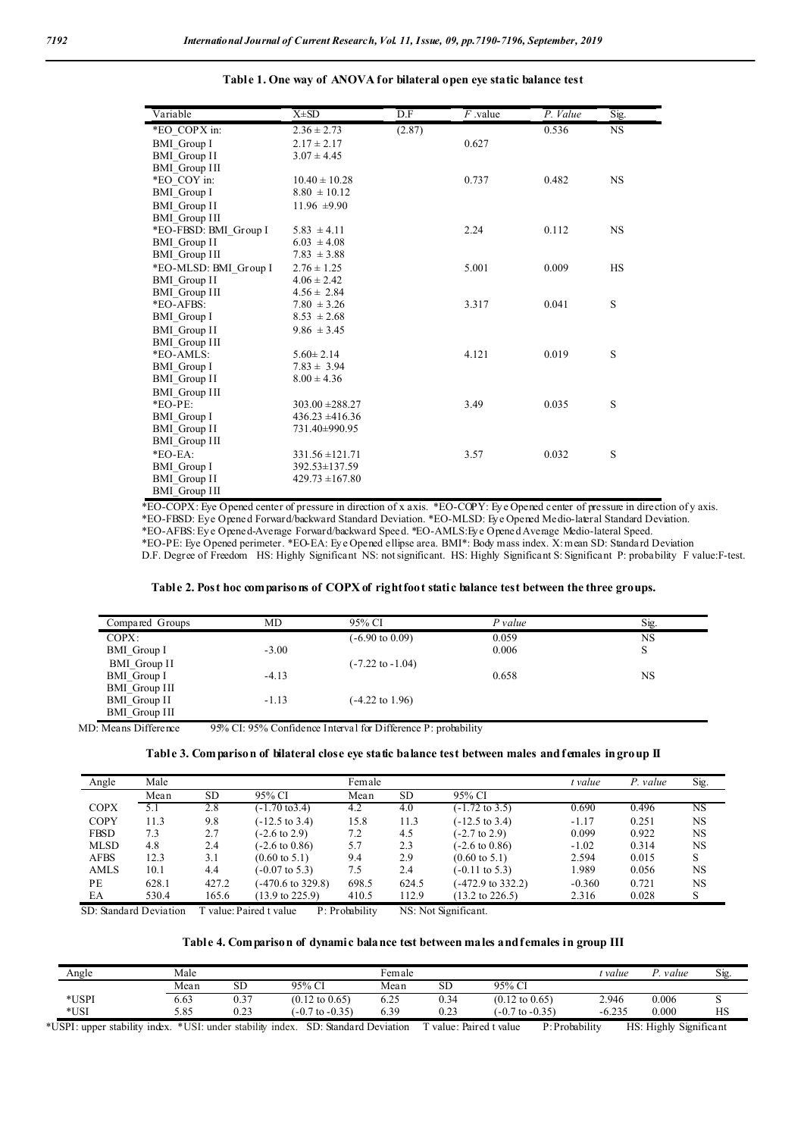| Variable              | $X\pm SD$           | D.F    | $\overline{F}$ value | P. Value | Sig.      |
|-----------------------|---------------------|--------|----------------------|----------|-----------|
| *EO_COPX in:          | $2.36 \pm 2.73$     | (2.87) |                      | 0.536    | <b>NS</b> |
| <b>BMI</b> Group I    | $2.17 \pm 2.17$     |        | 0.627                |          |           |
| <b>BMI</b> Group II   | $3.07 \pm 4.45$     |        |                      |          |           |
| <b>BMI</b> Group III  |                     |        |                      |          |           |
| *EO COY in:           | $10.40 \pm 10.28$   |        | 0.737                | 0.482    | <b>NS</b> |
| <b>BMI</b> Group I    | $8.80 \pm 10.12$    |        |                      |          |           |
| <b>BMI</b> Group II   | 11.96 $\pm$ 9.90    |        |                      |          |           |
| <b>BMI</b> Group III  |                     |        |                      |          |           |
| *EO-FBSD: BMI Group I | $5.83 \pm 4.11$     |        | 2.24                 | 0.112    | <b>NS</b> |
| <b>BMI_Group II</b>   | $6.03 \pm 4.08$     |        |                      |          |           |
| <b>BMI</b> Group III  | $7.83 \pm 3.88$     |        |                      |          |           |
| *EO-MLSD: BMI_Group I | $2.76 \pm 1.25$     |        | 5.001                | 0.009    | <b>HS</b> |
| <b>BMI</b> Group II   | $4.06 \pm 2.42$     |        |                      |          |           |
| <b>BMI</b> Group III  | $4.56 \pm 2.84$     |        |                      |          |           |
| *EO-AFBS:             | $7.80 \pm 3.26$     |        | 3.317                | 0.041    | S         |
| <b>BMI</b> Group I    | $8.53 \pm 2.68$     |        |                      |          |           |
| <b>BMI</b> Group II   | $9.86 \pm 3.45$     |        |                      |          |           |
| <b>BMI</b> Group III  |                     |        |                      |          |           |
| *EO-AMLS:             | $5.60 \pm 2.14$     |        | 4.121                | 0.019    | S         |
| <b>BMI</b> Group I    | $7.83 \pm 3.94$     |        |                      |          |           |
| BMI_Group II          | $8.00 \pm 4.36$     |        |                      |          |           |
| <b>BMI</b> Group III  |                     |        |                      |          |           |
| $*EO-PE:$             | $303.00 \pm 288.27$ |        | 3.49                 | 0.035    | S         |
| <b>BMI</b> Group I    | $436.23 \pm 416.36$ |        |                      |          |           |
| <b>BMI</b> Group II   | 731.40±990.95       |        |                      |          |           |
| <b>BMI</b> Group III  |                     |        |                      |          |           |
| $*EO-EA:$             | $331.56 \pm 121.71$ |        | 3.57                 | 0.032    | S         |
| <b>BMI</b> Group I    | 392.53±137.59       |        |                      |          |           |
| <b>BMI</b> Group II   | $429.73 \pm 167.80$ |        |                      |          |           |
| <b>BMI</b> Group III  |                     |        |                      |          |           |

**Table 1. One way of ANOVA for bilateral open eye static balance test**

\*EO-COPX: Eye Opened center of pressure in direction of x axis. \*EO-COPY: Eye Opened center of pressure in direction of y axis. \*EO-FBSD: Eye Opened Forward/backward Standard Deviation. \*EO-MLSD: Eye Opened Medio-lateral Standard Deviation. \*EO-AFBS: Ey e Opened-Average Forward/backward Speed. \*EO-AMLS:Eye Opened Average Medio-lateral Speed. \*EO-PE: Eye Opened perimeter. \*EO-EA: Eye Opened ellipse area. BMI\*: Body mass index. X: mean SD: Standard Deviation D.F. Degree of Freedom HS: Highly Significant NS: not significant. HS: Highly Significant S: Significant P: probability F value:F-test.

#### **Table 2. Post hoc comparisons of COPX of right foot static balance test between the three groups.**

| Compared Groups      | MD      | 95% CI                      | $P$ value | Sig.      |
|----------------------|---------|-----------------------------|-----------|-----------|
| $COPX$ :             |         | $(-6.90 \text{ to } 0.09)$  | 0.059     | NS        |
| BMI Group I          | $-3.00$ |                             | 0.006     | S         |
| BMI Group II         |         | $(-7.22 \text{ to } -1.04)$ |           |           |
| BMI Group I          | $-4.13$ |                             | 0.658     | <b>NS</b> |
| <b>BMI</b> Group III |         |                             |           |           |
| <b>BMI</b> Group II  | $-1.13$ | $(-4.22 \text{ to } 1.96)$  |           |           |
| <b>BMI</b> Group III |         |                             |           |           |

MD: Means Difference 95% CI: 95% Confidence Interval for Difference P: probability

#### **Table 3. Comparison of bilateral close eye static balance test between males and females in group II**

| Angle       | Male  |           |                            | Female |       |                            | t value  | P. value | Sig.      |
|-------------|-------|-----------|----------------------------|--------|-------|----------------------------|----------|----------|-----------|
|             | Mean  | <b>SD</b> | 95% CI                     | Mean   | SD.   | 95% CI                     |          |          |           |
| <b>COPX</b> | 5.1   | 2.8       | (-1.70 to3.4)              | 4.2    | 4.0   | $(-1.72 \text{ to } 3.5)$  | 0.690    | 0.496    | NS        |
| <b>COPY</b> | 11.3  | 9.8       | $(-12.5 \text{ to } 3.4)$  | 15.8   | 11.3  | $(-12.5 \text{ to } 3.4)$  | $-1.17$  | 0.251    | <b>NS</b> |
| <b>FBSD</b> | 7.3   | 2.7       | $-2.6$ to 2.9)             | 7.2    | 4.5   | $(-2.7 \text{ to } 2.9)$   | 0.099    | 0.922    | <b>NS</b> |
| <b>MLSD</b> | 4.8   | 2.4       | $-2.6$ to 0.86)            | 5.7    | 2.3   | $(-2.6 \text{ to } 0.86)$  | $-1.02$  | 0.314    | <b>NS</b> |
| <b>AFBS</b> | 12.3  | 3.1       | $(0.60 \text{ to } 5.1)$   | 9.4    | 2.9   | $(0.60 \text{ to } 5.1)$   | 2.594    | 0.015    | S         |
| AMLS        | 10.1  | 4.4       | $(-0.07 \text{ to } 5.3)$  | 7.5    | 2.4   | $(-0.11 \text{ to } 5.3)$  | 1.989    | 0.056    | <b>NS</b> |
| PE          | 628.1 | 427.2     | (-470.6 to 329.8)          | 698.5  | 624.5 | (-472.9 to 332.2)          | $-0.360$ | 0.721    | <b>NS</b> |
| EA          | 530.4 | 165.6     | $(13.9 \text{ to } 225.9)$ | 410.5  | 112.9 | $(13.2 \text{ to } 226.5)$ | 2.316    | 0.028    | S         |

SD: Standard Deviation T value:Paired t value P: Probability NS: Not Significant.

### **Table 4. Comparison of dynamic balance test between males and females in group III**

| Angle | Male |      |                            |                                | Female |                            |          | value | $\sim$<br>S19 |
|-------|------|------|----------------------------|--------------------------------|--------|----------------------------|----------|-------|---------------|
|       | Mean | SD   | 95% CI                     | Mean                           | SD     | 95% CI                     |          |       |               |
| *USPI | 6.63 | 0.37 | $(0.12 \text{ to } 0.65)$  | $\Delta$ $\epsilon$<br>$0.2 -$ | 0.34   | $(0.12 \text{ to } 0.65)$  | 2.946    | 0.006 | ັ             |
| *USI  | 5.85 | 0.23 | $(-0.7 \text{ to } -0.35)$ | 0.39                           | 0.23   | $(-0.7 \text{ to } -0.35)$ | $-6.235$ | 0.000 | HS            |

\*USPI: upper stability index. \*USI: under stability index. SD: Standard Deviation T value: Paired t value P: Probability HS: Highly Significant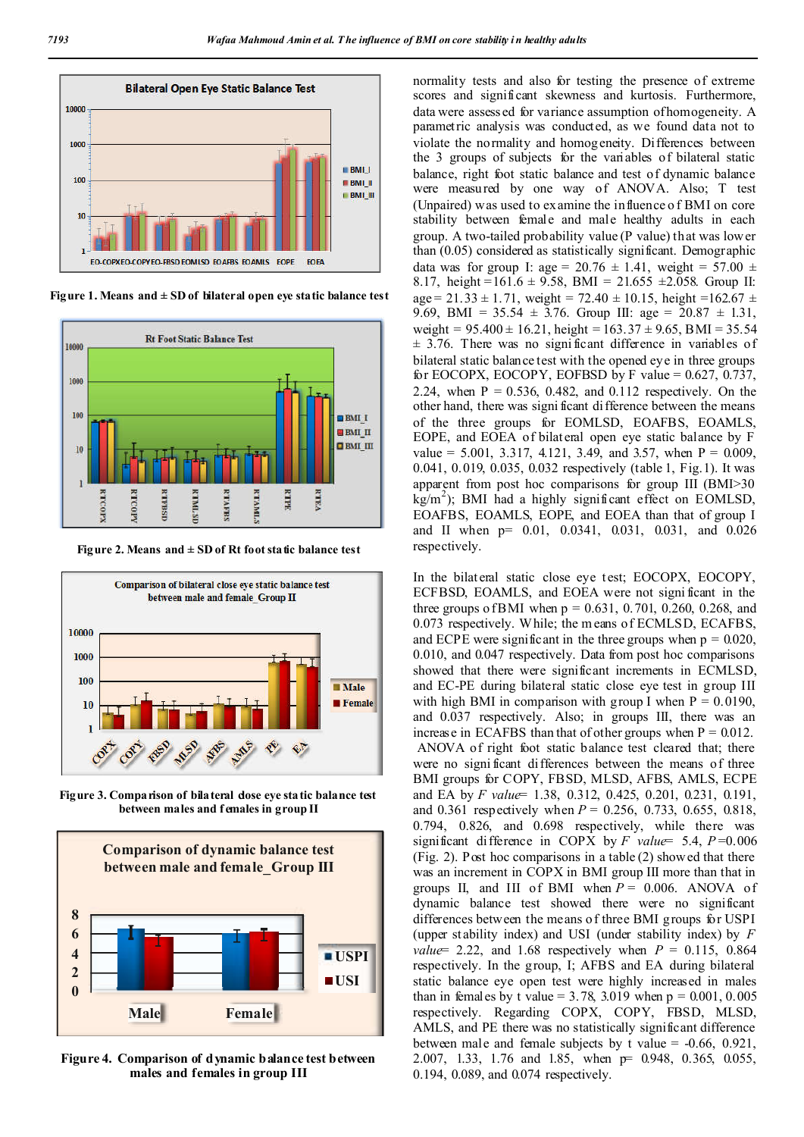

**Figure** 1. Means and  $\pm$  SD of bilateral open eye static balance test



Figure 2. Means and  $\pm$  SD of Rt foot static balance test



Figure 3. Comparison of bilateral dose eye static balance test **between males and f emales in group II**



**Figure 4. Comparison of dynamic balance test between males and females in group III**

normality tests and also for testing the presence of extreme scores and significant skewness and kurtosis. Furthermore, data were assessed for variance assumption of homogeneity. A parametric analysis was conducted, as we found data not to violate the normality and homogeneity. Differences between the 3 groups of subjects for the variables of bilateral static balance, right foot static balance and test of dynamic balance were measured by one way of ANOVA. Also; T test (Unpaired) was used to examine the influence o f BMI on core stability between female and male healthy adults in each group. A two-tailed probability value (P value) that was lower than (0.05) considered as statistically significant. Demographic data was for group I: age =  $20.76 \pm 1.41$ , weight =  $57.00 \pm 1.41$ 8.17, height =161.6  $\pm$  9.58, BMI = 21.655  $\pm$ 2.058. Group II: age =  $21.33 \pm 1.71$ , weight =  $72.40 \pm 10.15$ , height =  $162.67 \pm 10.15$ 9.69, BMI =  $35.54 \pm 3.76$ . Group III: age =  $20.87 \pm 1.31$ , weight =  $95.400 \pm 16.21$ , height =  $163.37 \pm 9.65$ , BMI = 35.54  $\pm$  3.76. There was no significant difference in variables of bilateral static balance test with the opened eye in three groups for EOCOPX, EOCOPY, EOFBSD by F value =  $0.627$ ,  $0.737$ , 2.24, when  $P = 0.536, 0.482,$  and 0.112 respectively. On the other hand, there was signi ficant difference between the means of the three groups for EOMLSD, EOAFBS, EOAMLS, EOPE, and EOEA of bilateral open eye static balance by F value = 5.001, 3.317, 4.121, 3.49, and 3.57, when  $P = 0.009$ , 0.041, 0.019, 0.035, 0.032 respectively (table 1, Fig.1). It was apparent from post hoc comparisons for group III (BMI>30  $k_B/m^2$ ); BMI had a highly significant effect on EOMLSD, EOAFBS, EOAMLS, EOPE, and EOEA than that of group I and II when p= 0.01, 0.0341, 0.031, 0.031, and 0.026 respectively.

In the bilateral static close eye test; EOCOPX, EOCOPY, ECFBSD, EOAMLS, and EOEA were not signi ficant in the three groups of BMI when  $p = 0.631, 0.701, 0.260, 0.268,$  and 0.073 respectively. While; the m eans of ECMLSD, ECAFBS, and ECPE were significant in the three groups when  $p = 0.020$ , 0.010, and 0.047 respectively. Data from post hoc comparisons showed that there were significant increments in ECMLSD, and EC-PE during bilateral static close eye test in group III with high BMI in comparison with group I when  $P = 0.0190$ , and 0.037 respectively. Also; in groups III, there was an increase in ECAFBS than that of other groups when  $P = 0.012$ . ANOVA of right foot static balance test cleared that; there were no signi ficant differences between the means of three BMI groups for COPY, FBSD, MLSD, AFBS, AMLS, ECPE and EA by *F value*= 1.38, 0.312, 0.425, 0.201, 0.231, 0.191, and 0.361 respectively when *P* = 0.256, 0.733, 0.655, 0.818, 0.794, 0.826, and 0.698 respectively, while there was significant difference in COPX by *F value*= 5.4, *P* =0.006 (Fig. 2). Post hoc comparisons in a table (2) showed that there was an increment in COPX in BMI group III more than that in groups II, and III of BMI when  $P = 0.006$ . ANOVA of dynamic balance test showed there were no significant differences between the means of three BMI groups for USPI (upper st ability index) and USI (under stability index) by *F value* = 2.22, and 1.68 respectively when  $P = 0.115$ , 0.864 respectively. In the group, I; AFBS and EA during bilateral static balance eye open test were highly increased in males than in females by t value =  $3.78$ ,  $3.019$  when  $p = 0.001$ ,  $0.005$ respectively. Regarding COPX, COPY, FBSD, MLSD, AMLS, and PE there was no statistically significant difference between male and female subjects by t value = -0.66, 0.921, 2.007, 1.33, 1.76 and 1.85, when p= 0.948, 0.365, 0.055, 0.194, 0.089, and 0.074 respectively.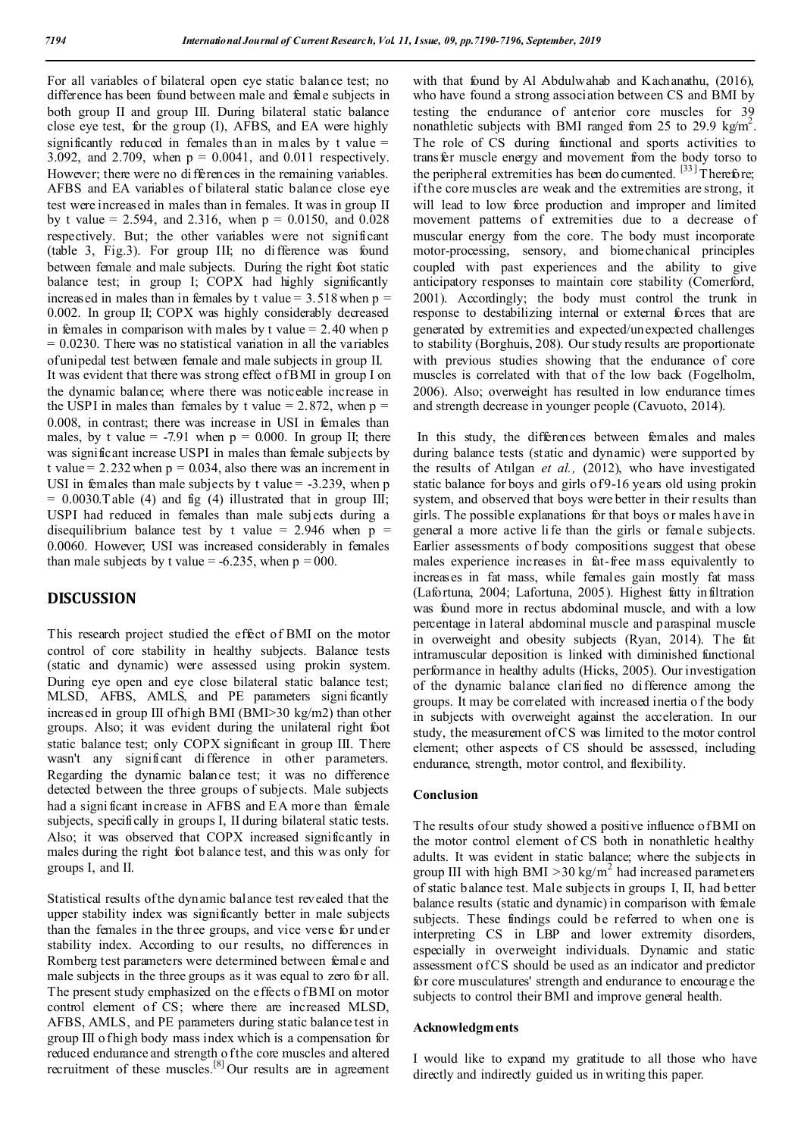For all variables of bilateral open eye static balance test; no difference has been found between male and female subjects in both group II and group III. During bilateral static balance close eye test, for the group (I), AFBS, and EA were highly significantly reduced in females than in males by t value  $=$ 3.092, and 2.709, when p = 0.0041, and 0.011 respectively. However; there were no differences in the remaining variables. AFBS and EA variables of bilateral static balance close eye test were increased in males than in females. It was in group II by t value = 2.594, and 2.316, when  $p = 0.0150$ , and 0.028 respectively. But; the other variables were not significant (table 3, Fig.3). For group III; no difference was found between female and male subjects. During the right foot static balance test; in group I; COPX had highly significantly increased in males than in females by t value =  $3.518$  when p = 0.002. In group II; COPX was highly considerably decreased in females in comparison with males by t value  $= 2.40$  when p  $= 0.0230$ . There was no statistical variation in all the variables of unipedal test between female and male subjects in group II. It was evident that there was strong effect of BMI in group I on the dynamic balance; where there was noticeable increase in the USPI in males than females by t value =  $2.872$ , when  $p =$ 0.008, in contrast; there was increase in USI in females than males, by t value = -7.91 when  $p = 0.000$ . In group II; there was significant increase USPI in males than female subjects by t value =  $2.232$  when  $p = 0.034$ , also there was an increment in USI in females than male subjects by t value  $= -3.239$ , when p  $= 0.0030$ .T able (4) and fig (4) illustrated that in group III; USPI had reduced in females than male subjects during a disequilibrium balance test by t value = 2.946 when  $p =$ 0.0060. However; USI was increased considerably in females than male subjects by t value =  $-6.235$ , when  $p = 000$ .

## **DISCUSSION**

This research project studied the effect of BMI on the motor control of core stability in healthy subjects. Balance tests (static and dynamic) were assessed using prokin system. During eye open and eye close bilateral static balance test; MLSD, AFBS, AMLS, and PE parameters signi ficantly increased in group III of high BMI (BMI>30 kg/m2) than other groups. Also; it was evident during the unilateral right foot static balance test; only COPX significant in group III. There wasn't any significant difference in other parameters. Regarding the dynamic balance test; it was no difference detected between the three groups of subjects. Male subjects had a signi ficant increase in AFBS and EA more than female subjects, specifically in groups I, II during bilateral static tests. Also; it was observed that COPX increased significantly in males during the right foot balance test, and this w as only for groups I, and II.

Statistical results of the dynamic balance test revealed that the upper stability index was significantly better in male subjects than the females in the three groups, and vice verse for under stability index. According to our results, no differences in Romberg test parameters were determined between female and male subjects in the three groups as it was equal to zero for all. The present study emphasized on the effects of BMI on motor control element of CS; where there are increased MLSD, AFBS, AMLS, and PE parameters during static balance test in group III of high body mass index which is a compensation for reduced endurance and strength o f the core muscles and altered recruitment of these muscles.<sup>[8]</sup> Our results are in agreement

with that found by Al Abdulwahab and Kachanathu, (2016), who have found a strong association between CS and BMI by testing the endurance of anterior core muscles for 39 nonathletic subjects with BMI ranged from 25 to 29.9 kg/m<sup>2</sup>. The role of CS during functional and sports activities to transfer muscle energy and movement from the body torso to the peripheral extremities has been do cumented.  $[33]$  Therefore; if the core muscles are weak and the extremities are strong, it will lead to low force production and improper and limited movement patterns of extremities due to a decrease of muscular energy from the core. The body must incorporate motor-processing, sensory, and biomechanical principles coupled with past experiences and the ability to give anticipatory responses to maintain core stability (Comerford, 2001). Accordingly; the body must control the trunk in response to destabilizing internal or external forces that are generated by extremities and expected/unexpected challenges to stability (Borghuis, 208). Our study results are proportionate with previous studies showing that the endurance of core muscles is correlated with that of the low back (Fogelholm, 2006). Also; overweight has resulted in low endurance times and strength decrease in younger people (Cavuoto, 2014).

In this study, the differences between females and males during balance tests (static and dynamic) were supported by the results of Atılgan *et al.,* (2012), who have investigated static balance for boys and girls of 9-16 years old using prokin system, and observed that boys were better in their results than girls. The possible explanations for that boys or males h ave in general a more active li fe than the girls or female subjects. Earlier assessments of body compositions suggest that obese males experience increases in fat-free mass equivalently to increases in fat mass, while females gain mostly fat mass (Lafortuna, 2004; Lafortuna, 2005). Highest fatty infiltration was found more in rectus abdominal muscle, and with a low percentage in lateral abdominal muscle and paraspinal muscle in overweight and obesity subjects (Ryan, 2014). The fat intramuscular deposition is linked with diminished functional performance in healthy adults (Hicks, 2005). Our investigation of the dynamic balance clarified no difference among the groups. It may be correlated with increased inertia o f the body in subjects with overweight against the acceleration. In our study, the measurement of CS was limited to the motor control element; other aspects of CS should be assessed, including endurance, strength, motor control, and flexibility.

## **Conclusion**

The results of our study showed a positive influence of BMI on the motor control element of CS both in nonathletic healthy adults. It was evident in static balance; where the subjects in group III with high BMI  $>30$  kg/m<sup>2</sup> had increased parameters of static balance test. Male subjects in groups I, II, had better balance results (static and dynamic) in comparison with female subjects. These findings could be referred to when one is interpreting CS in LBP and lower extremity disorders, especially in overweight individuals. Dynamic and static assessment of CS should be used as an indicator and predictor for core musculatures' strength and endurance to encourage the subjects to control their BMI and improve general health.

### **Acknowledgments**

I would like to expand my gratitude to all those who have directly and indirectly guided us in writing this paper.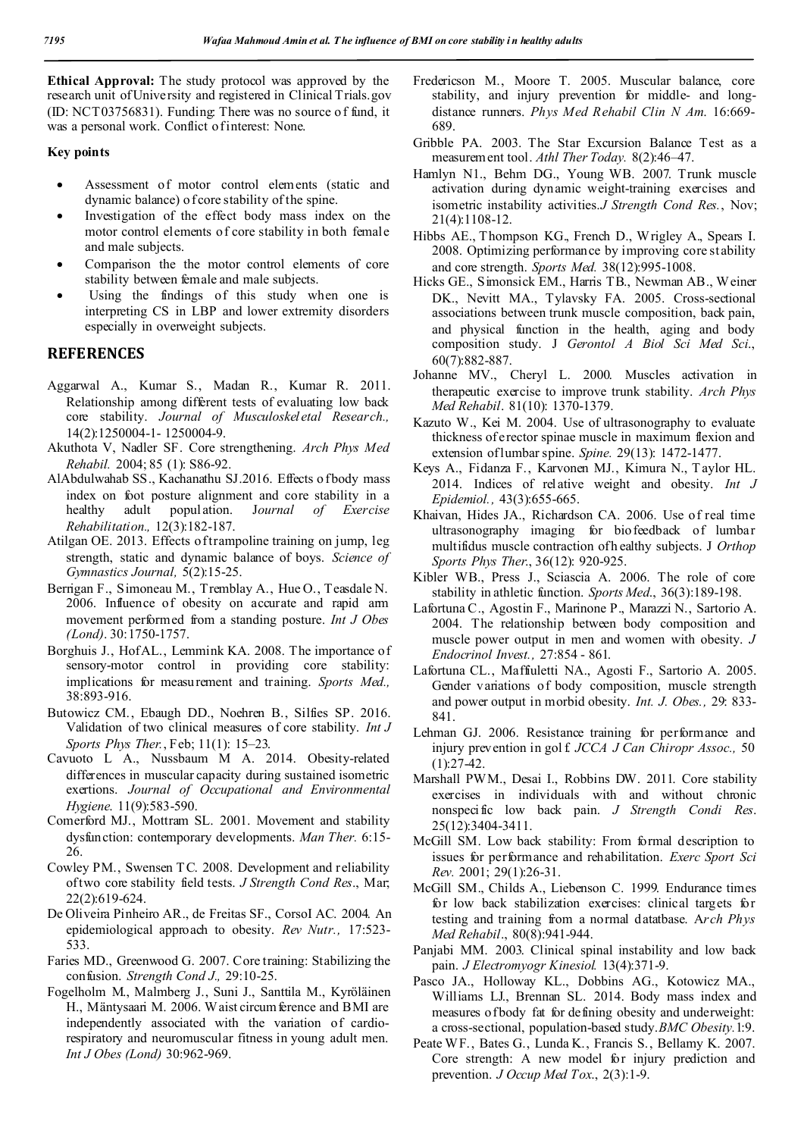**Ethical Approval:** The study protocol was approved by the research unit of University and registered in Clinical Trials.gov (ID: NCT03756831). Funding: There was no source o f fund, it was a personal work. Conflict of interest: None.

## **Key points**

- Assessment of motor control elements (static and dynamic balance) o f core stability of the spine.
- Investigation of the effect body mass index on the motor control elements of core stability in both female and male subjects.
- Comparison the the motor control elements of core stability between female and male subjects.
- Using the findings of this study when one is interpreting CS in LBP and lower extremity disorders especially in overweight subjects.

## **REFERENCES**

- Aggarwal A., Kumar S., Madan R., Kumar R. 2011. Relationship among different tests of evaluating low back core stability. *Journal of Musculoskel etal Research.,* 14(2):1250004-1- 1250004-9.
- Akuthota V, Nadler SF. Core strengthening. *Arch Phys Med Rehabil.* 2004; 85 (1): S86-92.
- AlAbdulwahab SS., Kachanathu SJ.2016. Effects o fbody mass index on foot posture alignment and core stability in a healthy adult population. J*ournal of Exercise Rehabilitation.,* 12(3):182-187.
- Atilgan OE. 2013. Effects of trampoline training on jump, leg strength, static and dynamic balance of boys. *Science of Gymnastics Journal,* 5(2):15-25.
- Berrigan F., Simoneau M., Tremblay A., Hue O., Teasdale N. 2006. Influence of obesity on accurate and rapid arm movement performed from a standing posture. *Int J Obes (Lond)*. 30:1750-1757.
- Borghuis J., Hof AL., Lemmink KA. 2008. The importance of sensory-motor control in providing core stability: implications for measurement and training. *Sports Med.,* 38:893-916.
- Butowicz CM., Ebaugh DD., Noehren B., Silfies SP. 2016. Validation of two clinical measures of core stability. *Int J Sports Phys Ther.*, Feb; 11(1): 15–23.
- Cavuoto L A., Nussbaum M A. 2014. Obesity-related differences in muscular capacity during sustained isometric exertions. *Journal of Occupational and Environmental Hygiene*. 11(9):583-590.
- Comerford MJ., Mottram SL. 2001. Movement and stability dysfunction: contemporary developments. *Man Ther.* 6:15- 26.
- Cowley PM., Swensen T C. 2008. Development and reliability of two core stability field tests. *J Strength Cond Res*., Mar; 22(2):619-624.
- De Oliveira Pinheiro AR., de Freitas SF., CorsoI AC. 2004. An epidemiological approach to obesity. *Rev Nutr.,* 17:523- 533.
- Faries MD., Greenwood G. 2007. Core training: Stabilizing the confusion. *Strength Cond J.,* 29:10-25.
- Fogelholm M., Malmberg J., Suni J., Santtila M., Kyröläinen H., Mäntysaari M. 2006. Waist circum ference and BMI are independently associated with the variation of cardiorespiratory and neuromuscular fitness in young adult men. *Int J Obes (Lond)* 30:962-969.
- Fredericson M., Moore T. 2005. Muscular balance, core stability, and injury prevention for middle- and longdistance runners. *Phys Med Rehabil Clin N Am*. 16:669- 689.
- Gribble PA. 2003. The Star Excursion Balance Test as a measurement tool. *Athl Ther Today.* 8(2):46–47.
- Hamlyn N1., Behm DG., Young WB. 2007. Trunk muscle activation during dynamic weight-training exercises and isometric instability activities.*J Strength Cond Res.*, Nov; 21(4):1108-12.
- Hibbs AE., Thompson KG., French D., Wrigley A., Spears I. 2008. Optimizing performance by improving core stability and core strength. *Sports Med.* 38(12):995-1008.
- Hicks GE., Simonsick EM., Harris TB., Newman AB., Weiner DK., Nevitt MA., Tylavsky FA. 2005. Cross-sectional associations between trunk muscle composition, back pain, and physical function in the health, aging and body composition study. J *Gerontol A Biol Sci Med Sci*., 60(7):882-887.
- Johanne MV., Cheryl L. 2000. Muscles activation in therapeutic exercise to improve trunk stability. *Arch Phys Med Rehabil*. 81(10): 1370-1379.
- Kazuto W., Kei M. 2004. Use of ultrasonography to evaluate thickness of erector spinae muscle in maximum flexion and extension of lumbar spine. *Spine.* 29(13): 1472-1477.
- Keys A., Fidanza F., Karvonen MJ., Kimura N., T aylor HL. 2014. Indices of relative weight and obesity. *Int J Epidemiol.,* 43(3):655-665.
- Khaivan, Hides JA., Richardson CA. 2006. Use of real time ultrasonography imaging for biofeedback of lumbar multifidus muscle contraction of h ealthy subjects. J *Orthop Sports Phys Ther*., 36(12): 920-925.
- Kibler WB., Press J., Sciascia A. 2006. The role of core stability in athletic function. *Sports Med*., 36(3):189-198.
- Lafortuna C., Agostin F., Marinone P., Marazzi N., Sartorio A. 2004. The relationship between body composition and muscle power output in men and women with obesity. *J Endocrinol Invest.,* 27:854 - 861.
- Lafortuna CL., Maffiuletti NA., Agosti F., Sartorio A. 2005. Gender variations of body composition, muscle strength and power output in morbid obesity. *Int. J. Obes.,* 29: 833- 841.
- Lehman GJ. 2006. Resistance training for performance and injury prevention in gol f. *JCCA J Can Chiropr Assoc.,* 50  $(1):27-42.$
- Marshall PWM., Desai I., Robbins DW. 2011. Core stability exercises in individuals with and without chronic nonspecific low back pain. *J Strength Condi Res*. 25(12):3404-3411.
- McGill SM. Low back stability: From formal description to issues for performance and rehabilitation. *Exerc Sport Sci Rev.* 2001; 29(1):26-31.
- McGill SM., Childs A., Liebenson C. 1999. Endurance times for low back stabilization exercises: clinical targets for testing and training from a normal datatbase. A*rch Phys Med Rehabil*., 80(8):941-944.
- Panjabi MM. 2003. Clinical spinal instability and low back pain. *J Electromyogr Kinesiol.* 13(4):371-9.
- Pasco JA., Holloway KL., Dobbins AG., Kotowicz MA., Williams LJ., Brennan SL. 2014. Body mass index and measures of body fat for defining obesity and underweight: a cross-sectional, population-based study.*BMC Obesity.*1:9.
- Peate WF., Bates G., Lunda K., Francis S., Bellamy K. 2007. Core strength: A new model for injury prediction and prevention. *J Occup Med Tox*., 2(3):1-9.